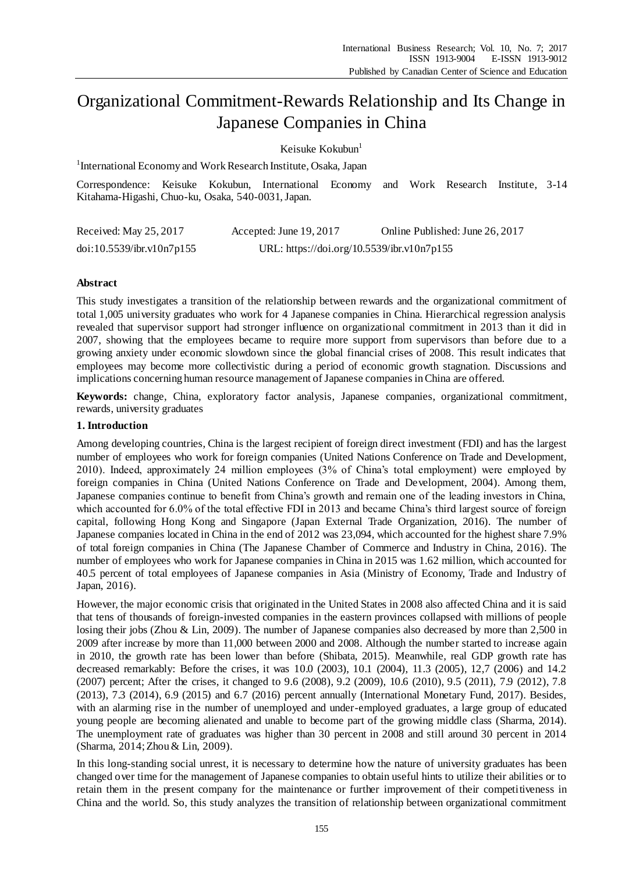# Organizational Commitment-Rewards Relationship and Its Change in Japanese Companies in China

Keisuke Kokubun<sup>1</sup>

<sup>1</sup> International Economy and Work Research Institute, Osaka, Japan

Correspondence: Keisuke Kokubun, International Economy and Work Research Institute, 3-14 Kitahama-Higashi, Chuo-ku, Osaka, 540-0031, Japan.

| Received: May 25, 2017    | Accepted: June $19,2017$                   | Online Published: June 26, 2017 |
|---------------------------|--------------------------------------------|---------------------------------|
| doi:10.5539/ibr.v10n7p155 | URL: https://doi.org/10.5539/ibr.v10n7p155 |                                 |

# **Abstract**

This study investigates a transition of the relationship between rewards and the organizational commitment of total 1,005 university graduates who work for 4 Japanese companies in China. Hierarchical regression analysis revealed that supervisor support had stronger influence on organizational commitment in 2013 than it did in 2007, showing that the employees became to require more support from supervisors than before due to a growing anxiety under economic slowdown since the global financial crises of 2008. This result indicates that employees may become more collectivistic during a period of economic growth stagnation. Discussions and implications concerning human resource management of Japanese companies in China are offered.

**Keywords:** change, China, exploratory factor analysis, Japanese companies, organizational commitment, rewards, university graduates

# **1. Introduction**

Among developing countries, China is the largest recipient of foreign direct investment (FDI) and has the largest number of employees who work for foreign companies (United Nations Conference on Trade and Development, 2010). Indeed, approximately 24 million employees (3% of China's total employment) were employed by foreign companies in China (United Nations Conference on Trade and Development, 2004). Among them, Japanese companies continue to benefit from China's growth and remain one of the leading investors in China, which accounted for 6.0% of the total effective FDI in 2013 and became China's third largest source of foreign capital, following Hong Kong and Singapore (Japan External Trade Organization, 2016). The number of Japanese companies located in China in the end of 2012 was 23,094, which accounted for the highest share 7.9% of total foreign companies in China (The Japanese Chamber of Commerce and Industry in China, 2016). The number of employees who work for Japanese companies in China in 2015 was 1.62 million, which accounted for 40.5 percent of total employees of Japanese companies in Asia (Ministry of Economy, Trade and Industry of Japan, 2016).

However, the major economic crisis that originated in the United States in 2008 also affected China and it is said that tens of thousands of foreign-invested companies in the eastern provinces collapsed with millions of people losing their jobs (Zhou & Lin, 2009). The number of Japanese companies also decreased by more than 2,500 in 2009 after increase by more than 11,000 between 2000 and 2008. Although the number started to increase again in 2010, the growth rate has been lower than before (Shibata, 2015). Meanwhile, real GDP growth rate has decreased remarkably: Before the crises, it was 10.0 (2003), 10.1 (2004), 11.3 (2005), 12,7 (2006) and 14.2 (2007) percent; After the crises, it changed to 9.6 (2008), 9.2 (2009), 10.6 (2010), 9.5 (2011), 7.9 (2012), 7.8 (2013), 7.3 (2014), 6.9 (2015) and 6.7 (2016) percent annually (International Monetary Fund, 2017). Besides, with an alarming rise in the number of unemployed and under-employed graduates, a large group of educated young people are becoming alienated and unable to become part of the growing middle class (Sharma, 2014). The unemployment rate of graduates was higher than 30 percent in 2008 and still around 30 percent in 2014 (Sharma, 2014; Zhou & Lin, 2009).

In this long-standing social unrest, it is necessary to determine how the nature of university graduates has been changed over time for the management of Japanese companies to obtain useful hints to utilize their abilities or to retain them in the present company for the maintenance or further improvement of their competitiveness in China and the world. So, this study analyzes the transition of relationship between organizational commitment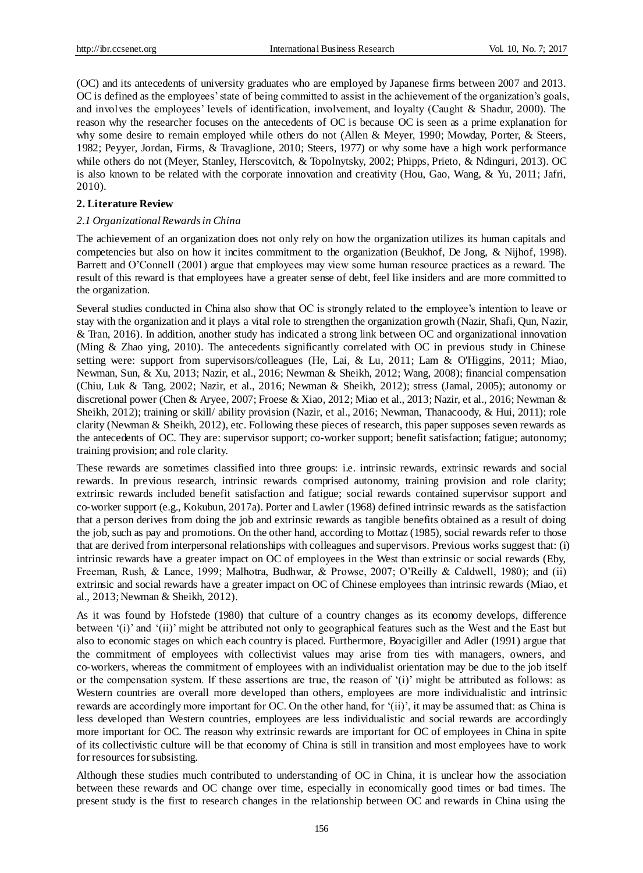(OC) and its antecedents of university graduates who are employed by Japanese firms between 2007 and 2013. OC is defined as the employees' state of being committed to assist in the achievement of the organization's goals, and involves the employees' levels of identification, involvement, and loyalty (Caught & Shadur, 2000). The reason why the researcher focuses on the antecedents of OC is because OC is seen as a prime explanation for why some desire to remain employed while others do not (Allen & Meyer, 1990; Mowday, Porter, & Steers, 1982; Peyyer, Jordan, Firms, & Travaglione, 2010; Steers, 1977) or why some have a high work performance while others do not (Meyer, Stanley, Herscovitch, & Topolnytsky, 2002; Phipps, Prieto, & Ndinguri, 2013). OC is also known to be related with the corporate innovation and creativity (Hou, Gao, Wang, & Yu, 2011; Jafri, 2010).

### **2. Literature Review**

#### *2.1 Organizational Rewards in China*

The achievement of an organization does not only rely on how the organization utilizes its human capitals and competencies but also on how it incites commitment to the organization (Beukhof, De Jong, & Nijhof, 1998). Barrett and O'Connell (2001) argue that employees may view some human resource practices as a reward. The result of this reward is that employees have a greater sense of debt, feel like insiders and are more committed to the organization.

Several studies conducted in China also show that OC is strongly related to the employee's intention to leave or stay with the organization and it plays a vital role to strengthen the organization growth (Nazir, Shafi, Qun, Nazir, & Tran, 2016). In addition, another study has indicated a strong link between OC and organizational innovation (Ming & Zhao ying, 2010). The antecedents significantly correlated with OC in previous study in Chinese setting were: support from supervisors/colleagues (He, Lai, & Lu, 2011; Lam & O'Higgins, 2011; Miao, Newman, Sun, & Xu, 2013; Nazir, et al., 2016; Newman & Sheikh, 2012; Wang, 2008); financial compensation (Chiu, Luk & Tang, 2002; Nazir, et al., 2016; Newman & Sheikh, 2012); stress (Jamal, 2005); autonomy or discretional power (Chen & Aryee, 2007; Froese & Xiao, 2012; Miao et al., 2013; Nazir, et al., 2016; Newman & Sheikh, 2012); training or skill/ ability provision (Nazir, et al., 2016; Newman, Thanacoody, & Hui, 2011); role clarity (Newman & Sheikh, 2012), etc. Following these pieces of research, this paper supposes seven rewards as the antecedents of OC. They are: supervisor support; co-worker support; benefit satisfaction; fatigue; autonomy; training provision; and role clarity.

These rewards are sometimes classified into three groups: i.e. intrinsic rewards, extrinsic rewards and social rewards. In previous research, intrinsic rewards comprised autonomy, training provision and role clarity; extrinsic rewards included benefit satisfaction and fatigue; social rewards contained supervisor support and co-worker support (e.g., Kokubun, 2017a). Porter and Lawler (1968) defined intrinsic rewards as the satisfaction that a person derives from doing the job and extrinsic rewards as tangible benefits obtained as a result of doing the job, such as pay and promotions. On the other hand, according to Mottaz (1985), social rewards refer to those that are derived from interpersonal relationships with colleagues and supervisors. Previous works suggest that: (i) intrinsic rewards have a greater impact on OC of employees in the West than extrinsic or social rewards (Eby, Freeman, Rush, & Lance, 1999; Malhotra, Budhwar, & Prowse, 2007; O'Reilly & Caldwell, 1980); and (ii) extrinsic and social rewards have a greater impact on OC of Chinese employees than intrinsic rewards (Miao, et al., 2013; Newman & Sheikh, 2012).

As it was found by Hofstede (1980) that culture of a country changes as its economy develops, difference between '(i)' and '(ii)' might be attributed not only to geographical features such as the West and the East but also to economic stages on which each country is placed. Furthermore, Boyacigiller and Adler (1991) argue that the commitment of employees with collectivist values may arise from ties with managers, owners, and co-workers, whereas the commitment of employees with an individualist orientation may be due to the job itself or the compensation system. If these assertions are true, the reason of '(i)' might be attributed as follows: as Western countries are overall more developed than others, employees are more individualistic and intrinsic rewards are accordingly more important for OC. On the other hand, for '(ii)', it may be assumed that: as China is less developed than Western countries, employees are less individualistic and social rewards are accordingly more important for OC. The reason why extrinsic rewards are important for OC of employees in China in spite of its collectivistic culture will be that economy of China is still in transition and most employees have to work for resources for subsisting.

Although these studies much contributed to understanding of OC in China, it is unclear how the association between these rewards and OC change over time, especially in economically good times or bad times. The present study is the first to research changes in the relationship between OC and rewards in China using the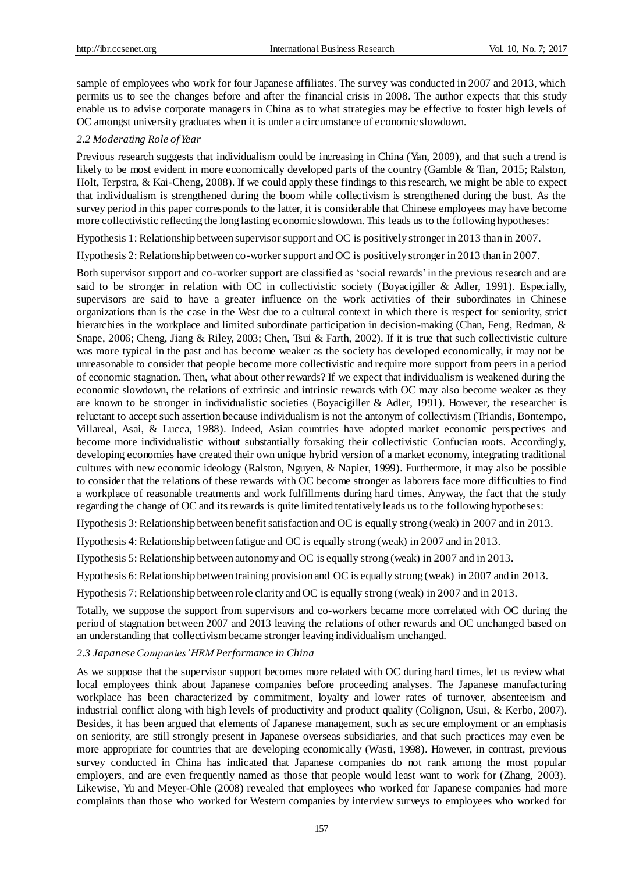sample of employees who work for four Japanese affiliates. The survey was conducted in 2007 and 2013, which permits us to see the changes before and after the financial crisis in 2008. The author expects that this study enable us to advise corporate managers in China as to what strategies may be effective to foster high levels of OC amongst university graduates when it is under a circumstance of economic slowdown.

#### *2.2 Moderating Role of Year*

Previous research suggests that individualism could be increasing in China (Yan, 2009), and that such a trend is likely to be most evident in more economically developed parts of the country (Gamble & Tian, 2015; Ralston, Holt, Terpstra, & Kai-Cheng, 2008). If we could apply these findings to this research, we might be able to expect that individualism is strengthened during the boom while collectivism is strengthened during the bust. As the survey period in this paper corresponds to the latter, it is considerable that Chinese employees may have become more collectivistic reflecting the long lasting economic slowdown. This leads us to the following hypotheses:

Hypothesis 1: Relationship between supervisor support and OC is positively stronger in 2013 than in 2007.

Hypothesis 2: Relationship between co-worker support and OC is positively stronger in 2013 than in 2007.

Both supervisor support and co-worker support are classified as 'social rewards' in the previous research and are said to be stronger in relation with OC in collectivistic society (Boyacigiller & Adler, 1991). Especially, supervisors are said to have a greater influence on the work activities of their subordinates in Chinese organizations than is the case in the West due to a cultural context in which there is respect for seniority, strict hierarchies in the workplace and limited subordinate participation in decision-making (Chan, Feng, Redman, & Snape, 2006; Cheng, Jiang & Riley, 2003; Chen, Tsui & Farth, 2002). If it is true that such collectivistic culture was more typical in the past and has become weaker as the society has developed economically, it may not be unreasonable to consider that people become more collectivistic and require more support from peers in a period of economic stagnation. Then, what about other rewards? If we expect that individualism is weakened during the economic slowdown, the relations of extrinsic and intrinsic rewards with OC may also become weaker as they are known to be stronger in individualistic societies (Boyacigiller & Adler, 1991). However, the researcher is reluctant to accept such assertion because individualism is not the antonym of collectivism (Triandis, Bontempo, Villareal, Asai, & Lucca, 1988). Indeed, Asian countries have adopted market economic perspectives and become more individualistic without substantially forsaking their collectivistic Confucian roots. Accordingly, developing economies have created their own unique hybrid version of a market economy, integrating traditional cultures with new economic ideology (Ralston, Nguyen, & Napier, 1999). Furthermore, it may also be possible to consider that the relations of these rewards with OC become stronger as laborers face more difficulties to find a workplace of reasonable treatments and work fulfillments during hard times. Anyway, the fact that the study regarding the change of OC and its rewards is quite limited tentatively leads us to the following hypotheses:

Hypothesis 3: Relationship between benefit satisfaction and OC is equally strong (weak) in 2007 and in 2013.

Hypothesis 4: Relationship between fatigue and OC is equally strong (weak) in 2007 and in 2013.

Hypothesis 5: Relationship between autonomy and OC is equally strong (weak) in 2007 and in 2013.

Hypothesis 6: Relationship between training provision and OC is equally strong (weak) in 2007 and in 2013.

Hypothesis 7: Relationship between role clarity and OC is equally strong (weak) in 2007 and in 2013.

Totally, we suppose the support from supervisors and co-workers became more correlated with OC during the period of stagnation between 2007 and 2013 leaving the relations of other rewards and OC unchanged based on an understanding that collectivism became stronger leaving individualism unchanged.

#### *2.3 Japanese Companies' HRM Performance in China*

As we suppose that the supervisor support becomes more related with OC during hard times, let us review what local employees think about Japanese companies before proceeding analyses. The Japanese manufacturing workplace has been characterized by commitment, loyalty and lower rates of turnover, absenteeism and industrial conflict along with high levels of productivity and product quality (Colignon, Usui, & Kerbo, 2007). Besides, it has been argued that elements of Japanese management, such as secure employment or an emphasis on seniority, are still strongly present in Japanese overseas subsidiaries, and that such practices may even be more appropriate for countries that are developing economically (Wasti, 1998). However, in contrast, previous survey conducted in China has indicated that Japanese companies do not rank among the most popular employers, and are even frequently named as those that people would least want to work for (Zhang, 2003). Likewise, Yu and Meyer-Ohle (2008) revealed that employees who worked for Japanese companies had more complaints than those who worked for Western companies by interview surveys to employees who worked for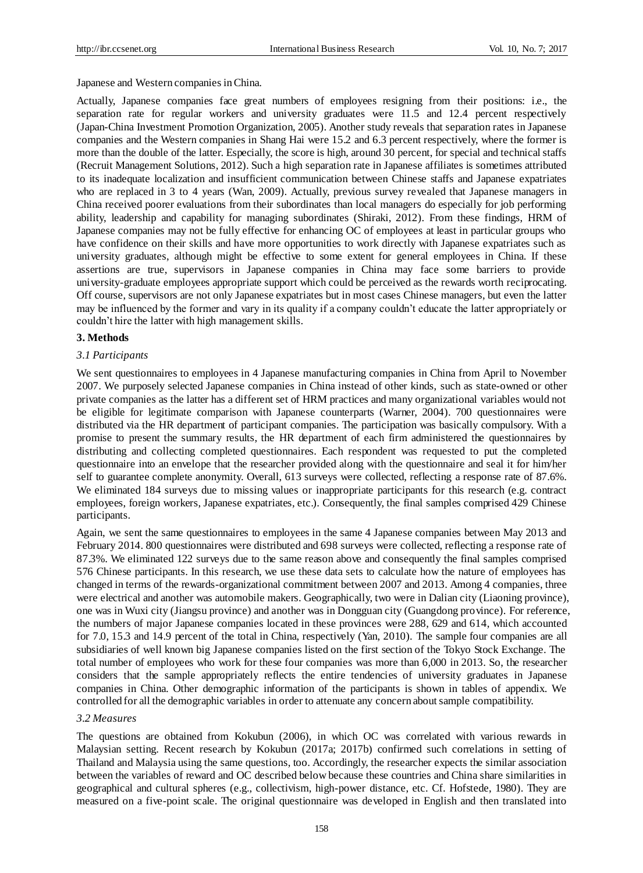Japanese and Western companies in China.

Actually, Japanese companies face great numbers of employees resigning from their positions: i.e., the separation rate for regular workers and university graduates were 11.5 and 12.4 percent respectively (Japan-China Investment Promotion Organization, 2005). Another study reveals that separation rates in Japanese companies and the Western companies in Shang Hai were 15.2 and 6.3 percent respectively, where the former is more than the double of the latter. Especially, the score is high, around 30 percent, for special and technical staffs (Recruit Management Solutions, 2012). Such a high separation rate in Japanese affiliates is sometimes attributed to its inadequate localization and insufficient communication between Chinese staffs and Japanese expatriates who are replaced in 3 to 4 years (Wan, 2009). Actually, previous survey revealed that Japanese managers in China received poorer evaluations from their subordinates than local managers do especially for job performing ability, leadership and capability for managing subordinates (Shiraki, 2012). From these findings, HRM of Japanese companies may not be fully effective for enhancing OC of employees at least in particular groups who have confidence on their skills and have more opportunities to work directly with Japanese expatriates such as university graduates, although might be effective to some extent for general employees in China. If these assertions are true, supervisors in Japanese companies in China may face some barriers to provide university-graduate employees appropriate support which could be perceived as the rewards worth reciprocating. Off course, supervisors are not only Japanese expatriates but in most cases Chinese managers, but even the latter may be influenced by the former and vary in its quality if a company couldn't educate the latter appropriately or couldn't hire the latter with high management skills.

#### **3. Methods**

### *3.1 Participants*

We sent questionnaires to employees in 4 Japanese manufacturing companies in China from April to November 2007. We purposely selected Japanese companies in China instead of other kinds, such as state-owned or other private companies as the latter has a different set of HRM practices and many organizational variables would not be eligible for legitimate comparison with Japanese counterparts (Warner, 2004). 700 questionnaires were distributed via the HR department of participant companies. The participation was basically compulsory. With a promise to present the summary results, the HR department of each firm administered the questionnaires by distributing and collecting completed questionnaires. Each respondent was requested to put the completed questionnaire into an envelope that the researcher provided along with the questionnaire and seal it for him/her self to guarantee complete anonymity. Overall, 613 surveys were collected, reflecting a response rate of 87.6%. We eliminated 184 surveys due to missing values or inappropriate participants for this research (e.g. contract employees, foreign workers, Japanese expatriates, etc.). Consequently, the final samples comprised 429 Chinese participants.

Again, we sent the same questionnaires to employees in the same 4 Japanese companies between May 2013 and February 2014. 800 questionnaires were distributed and 698 surveys were collected, reflecting a response rate of 87.3%. We eliminated 122 surveys due to the same reason above and consequently the final samples comprised 576 Chinese participants. In this research, we use these data sets to calculate how the nature of employees has changed in terms of the rewards-organizational commitment between 2007 and 2013. Among 4 companies, three were electrical and another was automobile makers. Geographically, two were in Dalian city (Liaoning province), one was in Wuxi city (Jiangsu province) and another was in Dongguan city (Guangdong province). For reference, the numbers of major Japanese companies located in these provinces were 288, 629 and 614, which accounted for 7.0, 15.3 and 14.9 percent of the total in China, respectively (Yan, 2010). The sample four companies are all subsidiaries of well known big Japanese companies listed on the first section of the Tokyo Stock Exchange. The total number of employees who work for these four companies was more than 6,000 in 2013. So, the researcher considers that the sample appropriately reflects the entire tendencies of university graduates in Japanese companies in China. Other demographic information of the participants is shown in tables of appendix. We controlled for all the demographic variables in order to attenuate any concern about sample compatibility.

#### *3.2 Measures*

The questions are obtained from Kokubun (2006), in which OC was correlated with various rewards in Malaysian setting. Recent research by Kokubun (2017a; 2017b) confirmed such correlations in setting of Thailand and Malaysia using the same questions, too. Accordingly, the researcher expects the similar association between the variables of reward and OC described below because these countries and China share similarities in geographical and cultural spheres (e.g., collectivism, high-power distance, etc. Cf. Hofstede, 1980). They are measured on a five-point scale. The original questionnaire was developed in English and then translated into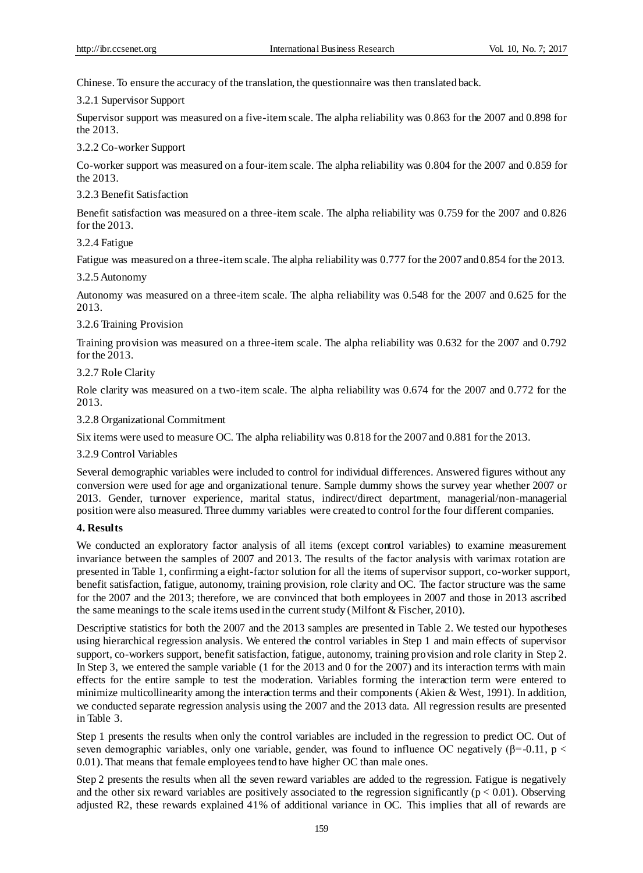Chinese. To ensure the accuracy of the translation, the questionnaire was then translated back.

3.2.1 Supervisor Support

Supervisor support was measured on a five-item scale. The alpha reliability was 0.863 for the 2007 and 0.898 for the 2013.

3.2.2 Co-worker Support

Co-worker support was measured on a four-item scale. The alpha reliability was 0.804 for the 2007 and 0.859 for the 2013.

#### 3.2.3 Benefit Satisfaction

Benefit satisfaction was measured on a three-item scale. The alpha reliability was 0.759 for the 2007 and 0.826 for the 2013.

#### 3.2.4 Fatigue

Fatigue was measured on a three-item scale. The alpha reliability was 0.777 for the 2007 and 0.854 for the 2013.

#### 3.2.5 Autonomy

Autonomy was measured on a three-item scale. The alpha reliability was 0.548 for the 2007 and 0.625 for the 2013.

#### 3.2.6 Training Provision

Training provision was measured on a three-item scale. The alpha reliability was 0.632 for the 2007 and 0.792 for the 2013.

3.2.7 Role Clarity

Role clarity was measured on a two-item scale. The alpha reliability was 0.674 for the 2007 and 0.772 for the 2013.

3.2.8 Organizational Commitment

Six items were used to measure OC. The alpha reliability was 0.818 for the 2007 and 0.881 for the 2013.

3.2.9 Control Variables

Several demographic variables were included to control for individual differences. Answered figures without any conversion were used for age and organizational tenure. Sample dummy shows the survey year whether 2007 or 2013. Gender, turnover experience, marital status, indirect/direct department, managerial/non-managerial position were also measured. Three dummy variables were created to control for the four different companies.

#### **4. Results**

We conducted an exploratory factor analysis of all items (except control variables) to examine measurement invariance between the samples of 2007 and 2013. The results of the factor analysis with varimax rotation are presented in Table 1, confirming a eight-factor solution for all the items of supervisor support, co-worker support, benefit satisfaction, fatigue, autonomy, training provision, role clarity and OC. The factor structure was the same for the 2007 and the 2013; therefore, we are convinced that both employees in 2007 and those in 2013 ascribed the same meanings to the scale items used in the current study (Milfont & Fischer, 2010).

Descriptive statistics for both the 2007 and the 2013 samples are presented in Table 2. We tested our hypotheses using hierarchical regression analysis. We entered the control variables in Step 1 and main effects of supervisor support, co-workers support, benefit satisfaction, fatigue, autonomy, training provision and role clarity in Step 2. In Step 3, we entered the sample variable (1 for the 2013 and 0 for the 2007) and its interaction terms with main effects for the entire sample to test the moderation. Variables forming the interaction term were entered to minimize multicollinearity among the interaction terms and their components (Akien & West, 1991). In addition, we conducted separate regression analysis using the 2007 and the 2013 data. All regression results are presented in Table 3.

Step 1 presents the results when only the control variables are included in the regression to predict OC. Out of seven demographic variables, only one variable, gender, was found to influence OC negatively ( $\beta$ =-0.11, p < 0.01). That means that female employees tend to have higher OC than male ones.

Step 2 presents the results when all the seven reward variables are added to the regression. Fatigue is negatively and the other six reward variables are positively associated to the regression significantly ( $p < 0.01$ ). Observing adjusted R2, these rewards explained 41% of additional variance in OC. This implies that all of rewards are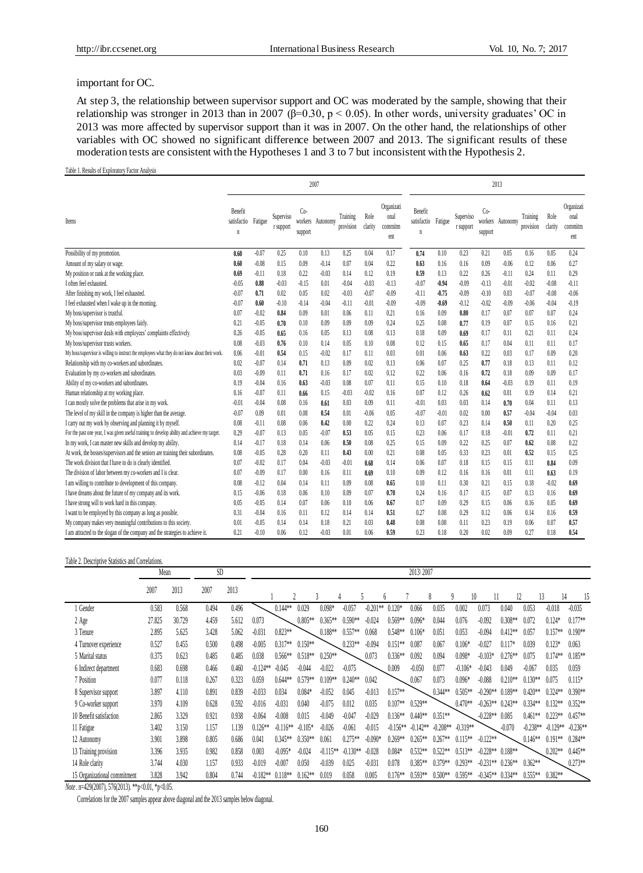#### important for OC.

At step 3, the relationship between supervisor support and OC was moderated by the sample, showing that their relationship was stronger in 2013 than in 2007 (β=0.30, p < 0.05). In other words, university graduates' OC in 2013 was more affected by supervisor support than it was in 2007. On the other hand, the relationships of other variables with OC showed no significant difference between 2007 and 2013. The significant results of these moderation tests are consistent with the Hypotheses 1 and 3 to 7 but inconsistent with the Hypothesis 2.

#### Table 1. Results of Exploratory Factor Analysis

|                                                                                                 | 2007                               |         |                        |                  |                  |                       |                 |                                      | 2013                               |         |                        |                           |                  |                       |                 |                                      |
|-------------------------------------------------------------------------------------------------|------------------------------------|---------|------------------------|------------------|------------------|-----------------------|-----------------|--------------------------------------|------------------------------------|---------|------------------------|---------------------------|------------------|-----------------------|-----------------|--------------------------------------|
| Items                                                                                           | <b>Renefit</b><br>satisfactio<br>n | Fatigue | Superviso<br>r support | $Co-$<br>support | workers Autonomy | Training<br>provision | Role<br>clarity | Organizati<br>onal<br>commitm<br>ent | <b>Benefit</b><br>satisfactio<br>n | Fatigue | Superviso<br>r support | C <sub>0</sub><br>support | workers Autonomv | Training<br>provision | Role<br>clarity | Organizati<br>onal<br>commitm<br>ent |
| Possibility of my promotion.                                                                    | 0.60                               | $-0.07$ | 0.25                   | 0.10             | 0.13             | 0.25                  | 0.04            | 0.17                                 | 0.74                               | 0.10    | 0.23                   | 0.21                      | 0.05             | 0.16                  | 0.05            | 0.24                                 |
| Amount of my salary or wage.                                                                    | 0.60                               | $-0.08$ | 0.15                   | 0.09             | $-0.14$          | 0.07                  | 0.04            | 0.22                                 | 0.63                               | 0.16    | 0.16                   | 0.09                      | $-0.06$          | 0.12                  | 0.06            | 0.27                                 |
| My position or rank at the working place.                                                       | 0.69                               | $-0.11$ | 0.18                   | 0.22             | $-0.03$          | 0.14                  | 0.12            | 0.19                                 | 0.59                               | 0.13    | 0.22                   | 0.26                      | $-0.11$          | 0.24                  | 0.11            | 0.29                                 |
| I often feel exhausted.                                                                         | $-0.05$                            | 0.88    | $-0.03$                | $-0.15$          | 0.01             | $-0.04$               | $-0.03$         | $-0.13$                              | $-0.07$                            | $-0.94$ | $-0.09$                | $-0.13$                   | $-0.01$          | $-0.02$               | $-0.08$         | $-0.11$                              |
| After finishing my work, I feel exhausted.                                                      | $-0.07$                            | 0.71    | 0.02                   | 0.05             | 0.02             | $-0.03$               | $-0.07$         | $-0.09$                              | $-0.11$                            | $-0.75$ | $-0.09$                | $-0.10$                   | 0.03             | $-0.07$               | $-0.08$         | $-0.06$                              |
| I feel exhausted when I wake up in the morning.                                                 | $-0.07$                            | 0.60    | $-0.10$                | $-0.14$          | $-0.04$          | $-0.11$               | $-0.01$         | $-0.09$                              | $-0.09$                            | $-0.69$ | $-0.12$                | $-0.02$                   | $-0.09$          | $-0.06$               | $-0.04$         | $-0.19$                              |
| My boss/supervisor is trustful.                                                                 | 0.07                               | $-0.02$ | 0.84                   | 0.09             | 0.01             | 0.06                  | 0.11            | 0.21                                 | 0.16                               | 0.09    | 0.80                   | 0.17                      | 0.07             | 0.07                  | 0.07            | 0.24                                 |
| My boss/supervisor treats employees fairly.                                                     | 0.21                               | $-0.05$ | 0.70                   | 0.10             | 0.09             | 0.09                  | 0.09            | 0.24                                 | 0.25                               | 0.08    | 0.77                   | 0.19                      | 0.07             | 0.15                  | 0.16            | 0.21                                 |
| My boss/supervisor deals with employees' complaints effectively.                                | 0.26                               | $-0.05$ | 0.65                   | 0.16             | 0.05             | 0.13                  | 0.08            | 0.13                                 | 0.18                               | 0.09    | 0.69                   | 0.17                      | 0.11             | 0.21                  | 0.11            | 0.24                                 |
| My boss/supervisor trusts workers.                                                              | 0.08                               | $-0.03$ | 0.76                   | 0.10             | 0.14             | 0.05                  | 0.10            | 0.08                                 | 0.12                               | 0.15    | 0.65                   | 0.17                      | 0.04             | 0.11                  | 0.11            | 0.17                                 |
| My boss/supervisor is willing to instruct the employees what they do not know about their work. | 0.06                               | $-0.01$ | 0.54                   | 0.15             | $-0.02$          | 0.17                  | 0.11            | 0.03                                 | 0.01                               | 0.06    | 0.63                   | 0.22                      | 0.03             | 0.17                  | 0.09            | 0.20                                 |
| Relationship with my co-workers and subordinates.                                               | 0.02                               | $-0.07$ | 0.14                   | 0.71             | 0.13             | 0.09                  | 0.02            | 0.13                                 | 0.06                               | 0.07    | 0.25                   | 0.77                      | 0.18             | 0.13                  | 0.11            | 0.12                                 |
| Evaluation by my co-workers and subordinates.                                                   | 0.03                               | $-0.09$ | 0.11                   | 0.71             | 0.16             | 0.17                  | 0.02            | 0.12                                 | 0.22                               | 0.06    | 0.16                   | 0.72                      | 0.18             | 0.09                  | 0.09            | 0.17                                 |
| Ability of my co-workers and subordinates.                                                      | 0.19                               | $-0.04$ | 0.16                   | 0.63             | $-0.03$          | 0.08                  | 0.07            | 0.11                                 | 0.15                               | 0.10    | 0.18                   | 0.64                      | $-0.03$          | 0.19                  | 0.11            | 0.19                                 |
| Human relationship at my working place.                                                         | 0.16                               | $-0.07$ | 0.11                   | 0.66             | 0.15             | $-0.03$               | $-0.02$         | 0.16                                 | 0.07                               | 0.12    | 0.26                   | 0.62                      | 0.01             | 0.19                  | 0.14            | 0.21                                 |
| I can mostly solve the problems that arise in my work.                                          | $-0.01$                            | $-0.04$ | 0.08                   | 0.16             | 0.61             | 0.03                  | 0.09            | 0.11                                 | $-0.01$                            | 0.03    | 0.03                   | 0.14                      | 0.70             | 0.04                  | 0.11            | 0.13                                 |
| The level of my skill in the company is higher than the average.                                | $-0.07$                            | 0.09    | 0.01                   | 0.08             | 0.54             | 0.01                  | $-0.06$         | 0.05                                 | $-0.07$                            | $-0.01$ | 0.02                   | 0.00                      | 0.57             | $-0.04$               | $-0.04$         | 0.03                                 |
| I carry out my work by observing and planning it by myself.                                     | 0.08                               | $-0.11$ | 0.08                   | 0.06             | 0.42             | 0.00                  | 0.22            | 0.24                                 | 0.13                               | 0.07    | 0.23                   | 0.14                      | 0.50             | 0.11                  | 0.20            | 0.25                                 |
| For the past one year, I was given useful training to develop ability and achieve my target.    | 0.29                               | $-0.07$ | 0.13                   | 0.05             | $-0.07$          | 0.53                  | 0.05            | 0.15                                 | 0.23                               | 0.06    | 0.17                   | 0.18                      | $-0.01$          | 0.72                  | 0.11            | 0.21                                 |
| In my work, I can master new skills and develop my ability.                                     | 0.14                               | $-0.17$ | 0.18                   | 0.14             | 0.06             | 0.50                  | 0.08            | 0.25                                 | 0.15                               | 0.09    | 0.22                   | 0.25                      | 0.07             | 0.62                  | 0.08            | 0.22                                 |
| At work, the bosses/supervisors and the seniors are training their subordinates.                | 0.08                               | $-0.05$ | 0.28                   | 0.20             | 0.11             | 0.43                  | 0.00            | 0.21                                 | 0.08                               | 0.05    | 0.33                   | 0.23                      | 0.01             | 0.52                  | 0.15            | 0.25                                 |
| The work division that I have to do is clearly identified.                                      | 0.07                               | $-0.02$ | 0.17                   | 0.04             | $-0.03$          | $-0.01$               | 0.68            | 0.14                                 | 0.06                               | 0.07    | 0.18                   | 0.15                      | 0.15             | 0.11                  | 0.84            | 0.09                                 |
| The division of labor between my co-workers and I is clear.                                     | 0.07                               | $-0.09$ | 0.17                   | 0.00             | 0.16             | 0.11                  | 0.69            | 0.10                                 | 0.09                               | 0.12    | 0.16                   | 0.16                      | 0.01             | 0.11                  | 0.63            | 0.19                                 |
| I am willing to contribute to development of this company.                                      | 0.08                               | $-0.12$ | 0.04                   | 0.14             | 0.11             | 0.09                  | 0.08            | 0.65                                 | 0.10                               | 0.11    | 0.30                   | 0.21                      | 0.15             | 0.18                  | $-0.02$         | 0.69                                 |
| I have dreams about the future of my company and its work.                                      | 0.15                               | $-0.06$ | 0.18                   | 0.06             | 0.10             | 0.09                  | 0.07            | 0.70                                 | 0.24                               | 0.16    | 0.17                   | 0.15                      | 0.07             | 0.13                  | 0.16            | 0.69                                 |
| I have strong will to work hard in this company.                                                | 0.05                               | $-0.05$ | 0.14                   | 0.07             | 0.06             | 0.10                  | 0.06            | 0.67                                 | 0.17                               | 0.09    | 0.29                   | 0.15                      | 0.06             | 0.16                  | 0.05            | 0.69                                 |
| I want to be employed by this company as long as possible.                                      | 0.31                               | $-0.04$ | 0.16                   | 0.11             | 0.12             | 0.14                  | 0.14            | 0.51                                 | 0.27                               | 0.08    | 0.29                   | 0.12                      | 0.06             | 0.14                  | 0.16            | 0.59                                 |
| My company makes very meaningful contributions to this society.                                 | 0.01                               | $-0.05$ | 0.14                   | 0.14             | 0.18             | 0.21                  | 0.03            | 0.48                                 | 0.08                               | 0.08    | 0.11                   | 0.23                      | 0.19             | 0.06                  | 0.07            | 0.57                                 |
| I am attracted to the slogan of the company and the strategies to achieve it.                   | 0.21                               | $-0.10$ | 0.06                   | 0.12             | $-0.03$          | 0.01                  | 0.06            | 0.59                                 | 0.23                               | 0.18    | 0.20                   | 0.02                      | 0.09             | 0.27                  | 0.18            | 0.54                                 |

#### Table 2. Descriptive Statistics and Correlations.

|                              | SD<br>Mean |        | 2013\2007 |       |            |            |           |            |            |            |            |            |            |            |            |           |            |            |            |
|------------------------------|------------|--------|-----------|-------|------------|------------|-----------|------------|------------|------------|------------|------------|------------|------------|------------|-----------|------------|------------|------------|
|                              | 2007       | 2013   | 2007      | 2013  |            | Λ          |           |            |            |            | h          |            | 8          | IV         | 11         | 12        | 13         | 14         | 15         |
| Gender                       | 0.583      | 0.568  | 0.494     | 0.496 |            | $0.144**$  | 0.029     | $0.098*$   | $-0.057$   | $-0.201**$ | $0.120*$   | 0.066      | 0.035      | 0.002      | 0.073      | 0.040     | 0.053      | $-0.018$   | $-0.035$   |
| 2 Age                        | 27.825     | 30.729 | 4.459     | 5.612 | 0.073      |            | $0.805**$ | $0.365**$  | $0.590**$  | $-0.024$   | $0.569**$  | $0.096*$   | 0.044      | 0.076      | $-0.092$   | $0.308**$ | 0.072      | $0.124*$   | $0.177**$  |
| 3 Tenure                     | 2.895      | 5.625  | 3.428     | 5.062 | $-0.031$   | $0.823**$  |           | $.188**$   | $0.557**$  | 0.068      | $0.548**$  | $0.106*$   | 0.05       | 0.053      | $-0.094$   | $0.412**$ | 0.057      | $0.157**$  | $0.190**$  |
| 4 Turnover experience        | 0.527      | 0.455  | 0.500     | 0.498 | $-0.005$   | $0.317**$  | $0.150**$ |            | $0.233**$  | $-0.094$   | $0.151**$  | 0.087      | 0.067      | $0.106*$   | $-0.027$   | $0.117*$  | 0.039      | $0.123*$   | 0.063      |
| 5 Marital status             | 0.375      | 0.623  | 0.485     | 0.485 | 0.038      | $0.566**$  | $0.518**$ | $0.250**$  |            | 0.073      | $0.336**$  | 0.092      | 0.094      | $0.098*$   | $-0.103*$  | $0.276**$ | 0.075      | $0.174**$  | $0.185**$  |
| 6 Indirect department        | 0.683      | 0.698  | 0.466     | 0.460 | $-0.124**$ | $-0.045$   | $-0.044$  | $-0.022$   | $-0.075$   |            | 0.009      | $-0.050$   | 0.07       | $-0.106*$  | $-0.043$   | 0.049     | $-0.067$   | 0.035      | 0.059      |
| 7 Position                   | 0.077      | 0.118  | 0.267     | 0.323 | 0.059      | $0.644**$  | $0.579**$ | $0.109**$  | $0.240**$  | 0.042      |            | 0.067      | 0.073      | $0.096*$   | $-0.088$   | $0.210**$ | $0.130**$  | 0.075      | $0.115*$   |
| 8 Supervisor support         | 3.897      | 4.110  | 0.891     | 0.839 | $-0.033$   | 0.034      | $0.084*$  | $-0.052$   | 0.045      | $-0.013$   | $0.157**$  |            | $0.344**$  | $0.505**$  | $-0.290**$ | $0.189**$ | $0.420**$  | ).324**    | $0.390**$  |
| 9 Co-worker support          | 3.970      | 4.109  | 0.628     | 0.592 | $-0.016$   | $-0.031$   | 0.040     | $-0.075$   | 0.012      | 0.035      | $0.107**$  | $0.529**$  |            | $0.470**$  | $-0.263**$ | $0.243**$ | $0.334**$  | 0.132**    | $0.352**$  |
| 10 Benefit satisfaction      | 2.865      | 3.329  | 0.921     | 0.938 | $-0.064$   | $-0.008$   | 0.015     | $-0.049$   | $-0.047$   | $-0.029$   | $0.136**$  | $0.440**$  | $0.351**$  |            | $-0.228**$ | 0.085     | $0.461**$  | $0.223**$  | $0.457**$  |
| 11 Fatigue                   | 3.402      | 3.150  | 1.157     | 1.139 | $0.126**$  | $-0.116**$ | $-0.105*$ | $-0.026$   | $-0.061$   | $-0.015$   | $-0.156**$ | $-0.142**$ | $-0.208**$ | $-0.319**$ |            | $-0.070$  | $-0.238**$ | $-0.129**$ | $-0.236**$ |
| 12 Autonomy                  | 3.901      | 3.898  | 0.805     | 0.686 | 0.041      | $0.345**$  | $0.350**$ | 0.061      | $0.275**$  | $-0.090*$  | $0.269**$  | $0.265**$  | $0.267**$  | $0.115**$  | $-0.122**$ |           | $0.146**$  | $0.191**$  | $0.284**$  |
| 13 Training provision        | 3.396      | 3.935  | 0.982     | 0.858 | 0.003      | $-0.095*$  | $-0.024$  | $-0.115**$ | $-0.130**$ | $-0.028$   | $0.084*$   | $0.532**$  | $0.522**$  | $0.513**$  | $-0.228**$ | $0.188**$ |            | $.202**$   | $0.445**$  |
| 14 Role clarity              | 3.744      | 4.030  | 1.157     | 0.933 | $-0.019$   | $-0.007$   | 0.050     | $-0.039$   | 0.025      | $-0.031$   | 0.078      | $0.385**$  | 0.379**    | $0.293**$  | $-0.231**$ | $0.236**$ | $0.362**$  |            | $0.273**$  |
| 15 Organizational commitment | 3.828      | 3.942  | 0.804     | 0.744 | $-0.182**$ | $0.118**$  | $0.162**$ | 0.019      | 0.058      | 0.005      | $0.176**$  | 0.593**    | $0.500**$  | $0.595**$  | $-0.345**$ | $0.334**$ | $0.555**$  | $0.382**$  |            |

*Note* . n=429(2007), 576(2013). \*\*p<0.01, \*p<0.05.

Correlations for the 2007 samples appear above diagonal and the 2013 samples below diagonal.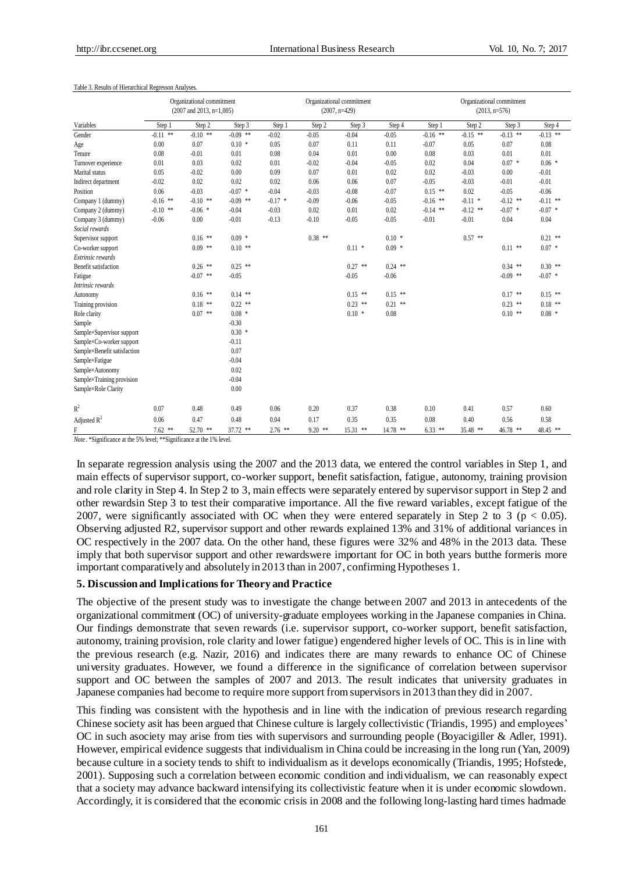|                              |            | Organizational commitment<br>$(2007$ and $2013$ , n=1,005) |            |           |           | Organizational commitment<br>$(2007, n=429)$ |           | Organizational commitment<br>$(2013, n=576)$ |            |            |            |  |  |  |
|------------------------------|------------|------------------------------------------------------------|------------|-----------|-----------|----------------------------------------------|-----------|----------------------------------------------|------------|------------|------------|--|--|--|
| Variables                    | Step 1     | Step 2                                                     | Step 3     | Step 1    | Step 2    | Step 3                                       | Step 4    | Step 1                                       | Step 2     | Step 3     | Step 4     |  |  |  |
| Gender                       | $-0.11$ ** | $-0.10$ **                                                 | $-0.09$ ** | $-0.02$   | $-0.05$   | $-0.04$                                      | $-0.05$   | $-0.16$ **                                   | $-0.15$ ** | $-0.13$ ** | $-0.13$ ** |  |  |  |
| Age                          | 0.00       | 0.07                                                       | $0.10*$    | 0.05      | 0.07      | 0.11                                         | 0.11      | $-0.07$                                      | 0.05       | 0.07       | 0.08       |  |  |  |
| Tenure                       | 0.08       | $-0.01$                                                    | 0.01       | 0.08      | 0.04      | 0.01                                         | 0.00      | 0.08                                         | 0.03       | 0.01       | 0.01       |  |  |  |
| Turnover experience          | 0.01       | 0.03                                                       | 0.02       | 0.01      | $-0.02$   | $-0.04$                                      | $-0.05$   | 0.02                                         | 0.04       | $0.07$ *   | $0.06$ *   |  |  |  |
| Marital status               | 0.05       | $-0.02$                                                    | 0.00       | 0.09      | 0.07      | 0.01                                         | 0.02      | 0.02                                         | $-0.03$    | 0.00       | $-0.01$    |  |  |  |
| Indirect department          | $-0.02$    | 0.02                                                       | 0.02       | 0.02      | 0.06      | 0.06                                         | 0.07      | $-0.05$                                      | $-0.03$    | $-0.01$    | $-0.01$    |  |  |  |
| Position                     | 0.06       | $-0.03$                                                    | $-0.07$ *  | $-0.04$   | $-0.03$   | $-0.08$                                      | $-0.07$   | $0.15$ **                                    | 0.02       | $-0.05$    | $-0.06$    |  |  |  |
| Company 1 (dummy)            | $-0.16$ ** | $-0.10$ **                                                 | $-0.09$ ** | $-0.17$ * | $-0.09$   | $-0.06$                                      | $-0.05$   | $-0.16$ **                                   | $-0.11$ *  | $-0.12$ ** | $-0.11$ ** |  |  |  |
| Company 2 (dummy)            | $-0.10$ ** | $-0.06$ *                                                  | $-0.04$    | $-0.03$   | 0.02      | 0.01                                         | 0.02      | $-0.14$ **                                   | $-0.12$ ** | $-0.07$ *  | $-0.07$ *  |  |  |  |
| Company 3 (dummy)            | $-0.06$    | 0.00                                                       | $-0.01$    | $-0.13$   | $-0.10$   | $-0.05$                                      | $-0.05$   | $-0.01$                                      | $-0.01$    | 0.04       | 0.04       |  |  |  |
| Social rewards               |            |                                                            |            |           |           |                                              |           |                                              |            |            |            |  |  |  |
| Supervisor support           |            | $0.16$ **                                                  | $0.09$ *   |           | $0.38$ ** |                                              | $0.10*$   |                                              | $0.57$ **  |            | $0.21$ **  |  |  |  |
| Co-worker support            |            | $0.09$ **                                                  | $0.10$ **  |           |           | $0.11$ *                                     | $0.09$ *  |                                              |            | $0.11$ **  | $0.07$ *   |  |  |  |
| Extrinsic rewards            |            |                                                            |            |           |           |                                              |           |                                              |            |            |            |  |  |  |
| Benefit satisfaction         |            | $0.26$ **                                                  | $0.25$ **  |           |           | $0.27$ **                                    | $0.24$ ** |                                              |            | $0.34$ **  | $0.30$ **  |  |  |  |
| Fatigue                      |            | $-0.07$ **                                                 | $-0.05$    |           |           | $-0.05$                                      | $-0.06$   |                                              |            | $-0.09$ ** | $-0.07$ *  |  |  |  |
| Intrinsic rewards            |            |                                                            |            |           |           |                                              |           |                                              |            |            |            |  |  |  |
| Autonomy                     |            | $0.16$ **                                                  | $0.14$ **  |           |           | $0.15$ **                                    | $0.15$ ** |                                              |            | $0.17$ **  | $0.15$ **  |  |  |  |
| Training provision           |            | $0.18$ **                                                  | $0.22$ **  |           |           | $0.23$ **                                    | $0.21$ ** |                                              |            | $0.23$ **  | $0.18$ **  |  |  |  |
| Role clarity                 |            | $0.07$ **                                                  | $0.08$ *   |           |           | $0.10*$                                      | 0.08      |                                              |            | $0.10$ **  | $0.08$ *   |  |  |  |
| Sample                       |            |                                                            | $-0.30$    |           |           |                                              |           |                                              |            |            |            |  |  |  |
| Sample >Supervisor support   |            |                                                            | $0.30*$    |           |           |                                              |           |                                              |            |            |            |  |  |  |
| Sample ×Co-worker support    |            |                                                            | $-0.11$    |           |           |                                              |           |                                              |            |            |            |  |  |  |
| Sample ×Benefit satisfaction |            |                                                            | 0.07       |           |           |                                              |           |                                              |            |            |            |  |  |  |
| Sample ×Fatigue              |            |                                                            | $-0.04$    |           |           |                                              |           |                                              |            |            |            |  |  |  |
| Sample ×Autonomy             |            |                                                            | 0.02       |           |           |                                              |           |                                              |            |            |            |  |  |  |
| Sample ×Training provision   |            |                                                            | $-0.04$    |           |           |                                              |           |                                              |            |            |            |  |  |  |
| Sample ×Role Clarity         |            |                                                            | 0.00       |           |           |                                              |           |                                              |            |            |            |  |  |  |
| $R^2$                        | 0.07       | 0.48                                                       | 0.49       | 0.06      | 0.20      | 0.37                                         | 0.38      | 0.10                                         | 0.41       | 0.57       | 0.60       |  |  |  |
| Adjusted $R^2$               | 0.06       | 0.47                                                       | 0.48       | 0.04      | 0.17      | 0.35                                         | 0.35      | 0.08                                         | 0.40       | 0.56       | 0.58       |  |  |  |
| F                            | $7.62$ **  | 52.70 **                                                   | 37.72 **   | $2.76$ ** | $9.20$ ** | 15.31 **                                     | 14.78 **  | $6.33$ **                                    | 35.48 **   | 46.78 **   | 48.45 **   |  |  |  |

#### Table 3. Results of Hierarchical Regresson Analyses.

*Note* . \*Significance at the 5% level; \*\*Significance at the 1% level.

In separate regression analysis using the 2007 and the 2013 data, we entered the control variables in Step 1, and main effects of supervisor support, co-worker support, benefit satisfaction, fatigue, autonomy, training provision and role clarity in Step 4. In Step 2 to 3, main effects were separately entered by supervisor support in Step 2 and other rewardsin Step 3 to test their comparative importance. All the five reward variables, except fatigue of the 2007, were significantly associated with OC when they were entered separately in Step 2 to 3 ( $p < 0.05$ ). Observing adjusted R2, supervisor support and other rewards explained 13% and 31% of additional variances in OC respectively in the 2007 data. On the other hand, these figures were 32% and 48% in the 2013 data. These imply that both supervisor support and other rewardswere important for OC in both years butthe formeris more important comparatively and absolutely in 2013 than in 2007, confirming Hypotheses 1.

#### **5. Discussion and Implications for Theory and Practice**

The objective of the present study was to investigate the change between 2007 and 2013 in antecedents of the organizational commitment (OC) of university-graduate employees working in the Japanese companies in China. Our findings demonstrate that seven rewards (i.e. supervisor support, co-worker support, benefit satisfaction, autonomy, training provision, role clarity and lower fatigue) engendered higher levels of OC. This is in line with the previous research (e.g. Nazir, 2016) and indicates there are many rewards to enhance OC of Chinese university graduates. However, we found a difference in the significance of correlation between supervisor support and OC between the samples of 2007 and 2013. The result indicates that university graduates in Japanese companies had become to require more support from supervisors in 2013 than they did in 2007.

This finding was consistent with the hypothesis and in line with the indication of previous research regarding Chinese society asit has been argued that Chinese culture is largely collectivistic (Triandis, 1995) and employees' OC in such asociety may arise from ties with supervisors and surrounding people (Boyacigiller & Adler, 1991). However, empirical evidence suggests that individualism in China could be increasing in the long run (Yan, 2009) because culture in a society tends to shift to individualism as it develops economically (Triandis, 1995; Hofstede, 2001). Supposing such a correlation between economic condition and individualism, we can reasonably expect that a society may advance backward intensifying its collectivistic feature when it is under economic slowdown. Accordingly, it is considered that the economic crisis in 2008 and the following long-lasting hard times hadmade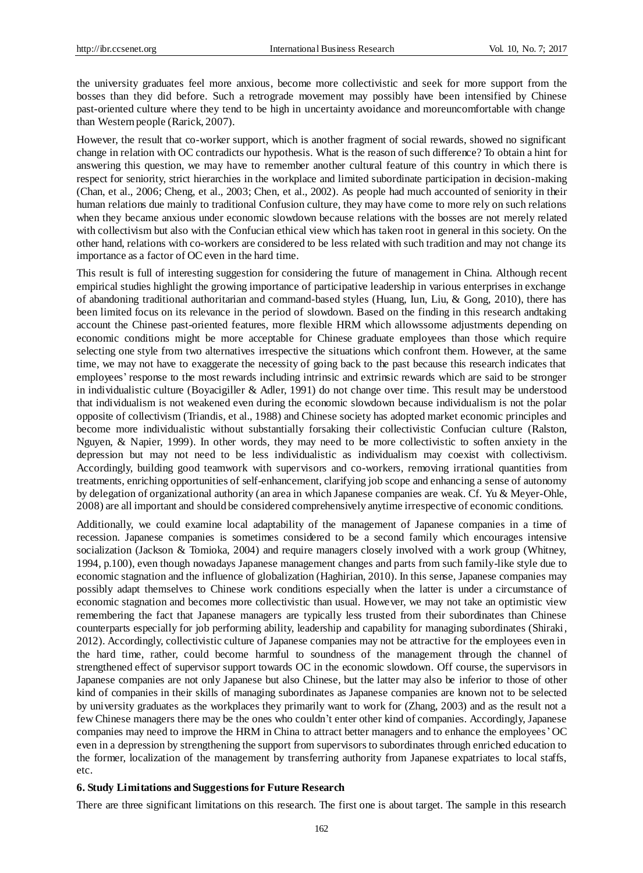the university graduates feel more anxious, become more collectivistic and seek for more support from the bosses than they did before. Such a retrograde movement may possibly have been intensified by Chinese past-oriented culture where they tend to be high in uncertainty avoidance and moreuncomfortable with change than Western people (Rarick, 2007).

However, the result that co-worker support, which is another fragment of social rewards, showed no significant change in relation with OC contradicts our hypothesis. What is the reason of such difference? To obtain a hint for answering this question, we may have to remember another cultural feature of this country in which there is respect for seniority, strict hierarchies in the workplace and limited subordinate participation in decision-making (Chan, et al., 2006; Cheng, et al., 2003; Chen, et al., 2002). As people had much accounted of seniority in their human relations due mainly to traditional Confusion culture, they may have come to more rely on such relations when they became anxious under economic slowdown because relations with the bosses are not merely related with collectivism but also with the Confucian ethical view which has taken root in general in this society. On the other hand, relations with co-workers are considered to be less related with such tradition and may not change its importance as a factor of OC even in the hard time.

This result is full of interesting suggestion for considering the future of management in China. Although recent empirical studies highlight the growing importance of participative leadership in various enterprises in exchange of abandoning traditional authoritarian and command-based styles (Huang, Iun, Liu, & Gong, 2010), there has been limited focus on its relevance in the period of slowdown. Based on the finding in this research andtaking account the Chinese past-oriented features, more flexible HRM which allowssome adjustments depending on economic conditions might be more acceptable for Chinese graduate employees than those which require selecting one style from two alternatives irrespective the situations which confront them. However, at the same time, we may not have to exaggerate the necessity of going back to the past because this research indicates that employees' response to the most rewards including intrinsic and extrinsic rewards which are said to be stronger in individualistic culture (Boyacigiller & Adler, 1991) do not change over time. This result may be understood that individualism is not weakened even during the economic slowdown because individualism is not the polar opposite of collectivism (Triandis, et al., 1988) and Chinese society has adopted market economic principles and become more individualistic without substantially forsaking their collectivistic Confucian culture (Ralston, Nguyen, & Napier, 1999). In other words, they may need to be more collectivistic to soften anxiety in the depression but may not need to be less individualistic as individualism may coexist with collectivism. Accordingly, building good teamwork with supervisors and co-workers, removing irrational quantities from treatments, enriching opportunities of self-enhancement, clarifying job scope and enhancing a sense of autonomy by delegation of organizational authority (an area in which Japanese companies are weak. Cf. Yu & Meyer-Ohle, 2008) are all important and should be considered comprehensively anytime irrespective of economic conditions.

Additionally, we could examine local adaptability of the management of Japanese companies in a time of recession. Japanese companies is sometimes considered to be a second family which encourages intensive socialization (Jackson & Tomioka, 2004) and require managers closely involved with a work group (Whitney, 1994, p.100), even though nowadays Japanese management changes and parts from such family-like style due to economic stagnation and the influence of globalization (Haghirian, 2010). In this sense, Japanese companies may possibly adapt themselves to Chinese work conditions especially when the latter is under a circumstance of economic stagnation and becomes more collectivistic than usual. However, we may not take an optimistic view remembering the fact that Japanese managers are typically less trusted from their subordinates than Chinese counterparts especially for job performing ability, leadership and capability for managing subordinates (Shiraki, 2012). Accordingly, collectivistic culture of Japanese companies may not be attractive for the employees even in the hard time, rather, could become harmful to soundness of the management through the channel of strengthened effect of supervisor support towards OC in the economic slowdown. Off course, the supervisors in Japanese companies are not only Japanese but also Chinese, but the latter may also be inferior to those of other kind of companies in their skills of managing subordinates as Japanese companies are known not to be selected by university graduates as the workplaces they primarily want to work for (Zhang, 2003) and as the result not a few Chinese managers there may be the ones who couldn't enter other kind of companies. Accordingly, Japanese companies may need to improve the HRM in China to attract better managers and to enhance the employees'OC even in a depression by strengthening the support from supervisors to subordinates through enriched education to the former, localization of the management by transferring authority from Japanese expatriates to local staffs, etc.

#### **6. Study Limitations and Suggestions for Future Research**

There are three significant limitations on this research. The first one is about target. The sample in this research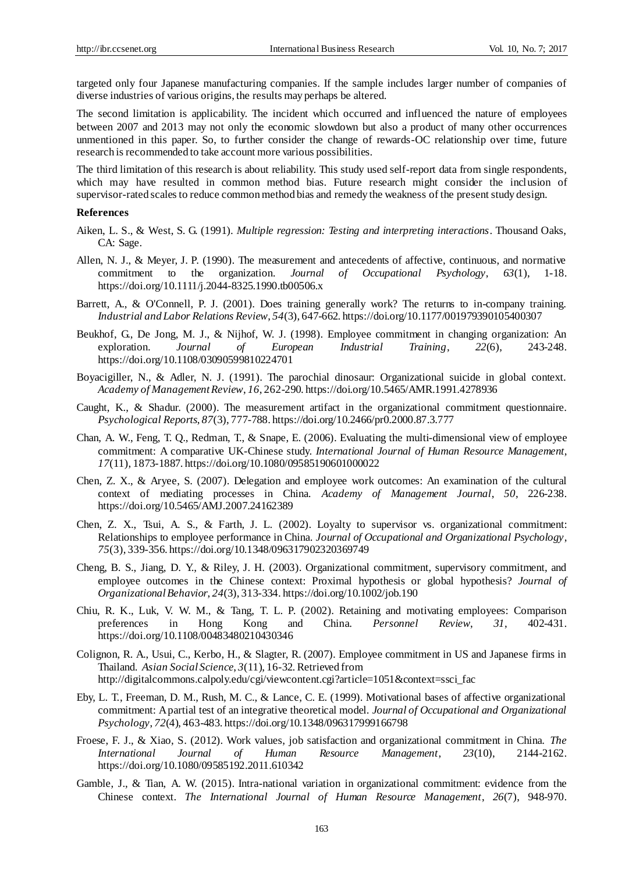targeted only four Japanese manufacturing companies. If the sample includes larger number of companies of diverse industries of various origins, the results may perhaps be altered.

The second limitation is applicability. The incident which occurred and influenced the nature of employees between 2007 and 2013 may not only the economic slowdown but also a product of many other occurrences unmentioned in this paper. So, to further consider the change of rewards-OC relationship over time, future research is recommended to take account more various possibilities.

The third limitation of this research is about reliability. This study used self-report data from single respondents, which may have resulted in common method bias. Future research might consider the inclusion of supervisor-rated scales to reduce common method bias and remedy the weakness of the present study design.

#### **References**

- Aiken, L. S., & West, S. G. (1991). *Multiple regression: Testing and interpreting interactions*. Thousand Oaks, CA: Sage.
- Allen, N. J., & Meyer, J. P. (1990). The measurement and antecedents of affective, continuous, and normative commitment to the organization. *Journal of Occupational Psychology*, *63*(1), 1-18. https://doi.org/10.1111/j.2044-8325.1990.tb00506.x
- Barrett, A., & O'Connell, P. J. (2001). Does training generally work? The returns to in-company training. *Industrial and Labor Relations Review*, *54*(3), 647-662. https://doi.org/10.1177/001979390105400307
- Beukhof, G., De Jong, M. J., & Nijhof, W. J. (1998). Employee commitment in changing organization: An exploration. *Journal of European Industrial Training*, *22*(6), 243-248. https://doi.org/10.1108/03090599810224701
- Boyacigiller, N., & Adler, N. J. (1991). The parochial dinosaur: Organizational suicide in global context. *Academy of Management Review*, *16*, 262-290[. https://doi.org/10.5465/AMR.1991.4278936](http://dx.doi.org/10.5465/AMR.1991.4278936)
- Caught, K., & Shadur. (2000). The measurement artifact in the organizational commitment questionnaire. *Psychological Reports*, *87*(3), 777-788. https://doi.org/10.2466/pr0.2000.87.3.777
- Chan, A. W., Feng, T. Q., Redman, T., & Snape, E. (2006). Evaluating the multi-dimensional view of employee commitment: A comparative UK-Chinese study. *International Journal of Human Resource Management*, *17*(11), 1873-1887. https://doi.org/10.1080/09585190601000022
- Chen, Z. X., & Aryee, S. (2007). Delegation and employee work outcomes: An examination of the cultural context of mediating processes in China. *Academy of Management Journal*, *50*, 226-238. https://doi.org/10.5465/AMJ.2007.24162389
- Chen, Z. X., Tsui, A. S., & Farth, J. L. (2002). Loyalty to supervisor vs. organizational commitment: Relationships to employee performance in China. *Journal of Occupational and Organizational Psychology*, *75*(3), 339-356. https://doi.org/10.1348/096317902320369749
- Cheng, B. S., Jiang, D. Y., & Riley, J. H. (2003). Organizational commitment, supervisory commitment, and employee outcomes in the Chinese context: Proximal hypothesis or global hypothesis? *Journal of Organizational Behavior*, *24*(3), 313-334. https://doi.org/10.1002/job.190
- Chiu, R. K., Luk, V. W. M., & Tang, T. L. P. (2002). Retaining and motivating employees: Comparison preferences in Hong Kong and China. *Personnel Review*, *31*, 402-431. https://doi.org/10.1108/00483480210430346
- Colignon, R. A., Usui, C., Kerbo, H., & Slagter, R. (2007). Employee commitment in US and Japanese firms in Thailand. *Asian Social Science*, *3*(11), 16-32. Retrieved from http://digitalcommons.calpoly.edu/cgi/viewcontent.cgi?article=1051&context=ssci\_fac
- Eby, L. T., Freeman, D. M., Rush, M. C., & Lance, C. E. (1999). Motivational bases of affective organizational commitment: A partial test of an integrative theoretical model. *Journal of Occupational and Organizational Psychology*, *72*(4), 463-483. https://doi.org/10.1348/096317999166798
- Froese, F. J., & Xiao, S. (2012). Work values, job satisfaction and organizational commitment in China. *The International Journal of Human Resource Management*, *23*(10), 2144-2162. https://doi.org/10.1080/09585192.2011.610342
- Gamble, J., & Tian, A. W. (2015). Intra-national variation in organizational commitment: evidence from the Chinese context. *The International Journal of Human Resource Management*, *26*(7), 948-970.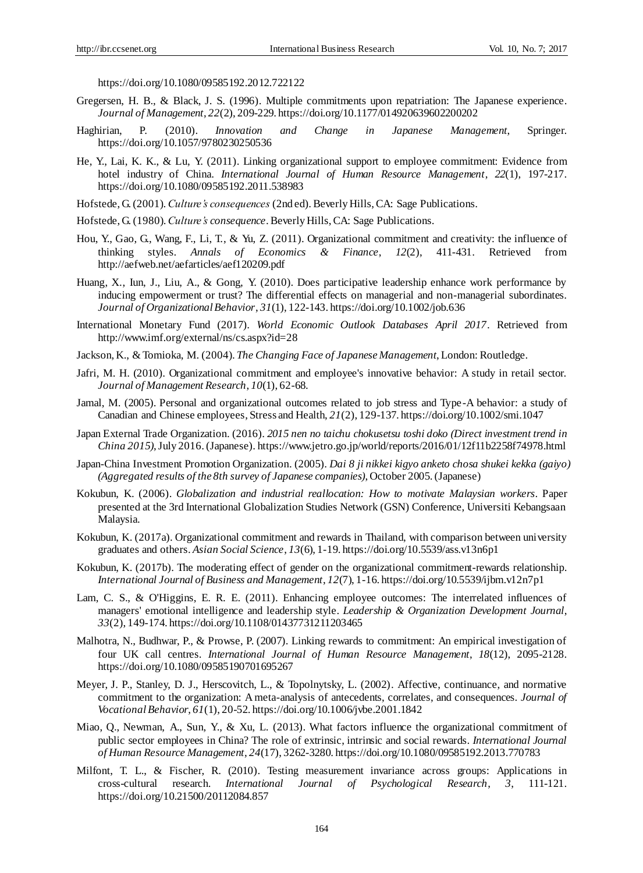https://doi.org/10.1080/09585192.2012.722122

- Gregersen, H. B., & Black, J. S. (1996). Multiple commitments upon repatriation: The Japanese experience. *Journal of Management*, *22*(2), 209-229. https://doi.org/10.1177/014920639602200202
- Haghirian, P. (2010). *Innovation and Change in Japanese Management*, Springer. https://doi.org/10.1057/9780230250536
- He, Y., Lai, K. K., & Lu, Y. (2011). Linking organizational support to employee commitment: Evidence from hotel industry of China. *International Journal of Human Resource Management*, *22*(1), 197-217. https://doi.org/10.1080/09585192.2011.538983
- Hofstede, G. (2001). *Culture's consequences* (2nd ed). Beverly Hills, CA: Sage Publications.
- Hofstede, G.(1980).*Culture's consequence*.Beverly Hills, CA: Sage Publications.
- Hou, Y., Gao, G., Wang, F., Li, T., & Yu, Z. (2011). Organizational commitment and creativity: the influence of thinking styles. *Annals of Economics & Finance*, *12*(2), 411-431. Retrieved from http://aefweb.net/aefarticles/aef120209.pdf
- Huang, X., Iun, J., Liu, A., & Gong, Y. (2010). Does participative leadership enhance work performance by inducing empowerment or trust? The differential effects on managerial and non-managerial subordinates. *Journal of Organizational Behavior*, *31*(1), 122-143. https://doi.org/10.1002/job.636
- International Monetary Fund (2017). *World Economic Outlook Databases April 2017*. Retrieved from http://www.imf.org/external/ns/cs.aspx?id=28
- Jackson, K., & Tomioka, M. (2004). *The Changing Face of Japanese Management*, London: Routledge.
- Jafri, M. H. (2010). Organizational commitment and employee's innovative behavior: A study in retail sector. *Journal of Management Research*, *10*(1), 62-68.
- Jamal, M. (2005). Personal and organizational outcomes related to job stress and Type-A behavior: a study of Canadian and Chinese employees, Stress and Health, *21*(2), 129-137. https://doi.org/10.1002/smi.1047
- Japan External Trade Organization. (2016). *2015 nen no taichu chokusetsu toshi doko (Direct investment trend in China 2015)*, July 2016. (Japanese). https://www.jetro.go.jp/world/reports/2016/01/12f11b2258f74978.html
- Japan-China Investment Promotion Organization. (2005). *Dai 8 ji nikkei kigyo anketo chosa shukei kekka (gaiyo) (Aggregated results of the 8th survey of Japanese companies)*, October 2005. (Japanese)
- Kokubun, K. (2006). *Globalization and industrial reallocation: How to motivate Malaysian workers*. Paper presented at the 3rd International Globalization Studies Network (GSN) Conference, Universiti Kebangsaan Malaysia.
- Kokubun, K. (2017a). Organizational commitment and rewards in Thailand, with comparison between university graduates and others. *Asian Social Science*, *13*(6), 1-19. https://doi.org/10.5539/ass.v13n6p1
- Kokubun, K. (2017b). The moderating effect of gender on the organizational commitment-rewards relationship. *International Journal of Business and Management*, *12*(7), 1-16. https://doi.org/10.5539/ijbm.v12n7p1
- Lam, C. S., & O'Higgins, E. R. E. (2011). Enhancing employee outcomes: The interrelated influences of managers' emotional intelligence and leadership style. *Leadership & Organization Development Journal*, *33*(2), 149-174. https://doi.org/10.1108/01437731211203465
- Malhotra, N., Budhwar, P., & Prowse, P. (2007). Linking rewards to commitment: An empirical investigation of four UK call centres. *International Journal of Human Resource Management*, *18*(12), 2095-2128. https://doi.org/10.1080/09585190701695267
- Meyer, J. P., Stanley, D. J., Herscovitch, L., & Topolnytsky, L. (2002). Affective, continuance, and normative commitment to the organization: A meta-analysis of antecedents, correlates, and consequences. *Journal of Vocational Behavior*, *61*(1), 20-52. https://doi.org/10.1006/jvbe.2001.1842
- Miao, Q., Newman, A., Sun, Y., & Xu, L. (2013). What factors influence the organizational commitment of public sector employees in China? The role of extrinsic, intrinsic and social rewards. *International Journal of Human Resource Management*, *24*(17), 3262-3280. https://doi.org/10.1080/09585192.2013.770783
- Milfont, T. L., & Fischer, R. (2010). Testing measurement invariance across groups: Applications in cross-cultural research. *International Journal of Psychological Research*, *3*, 111-121. https://doi.org/10.21500/20112084.857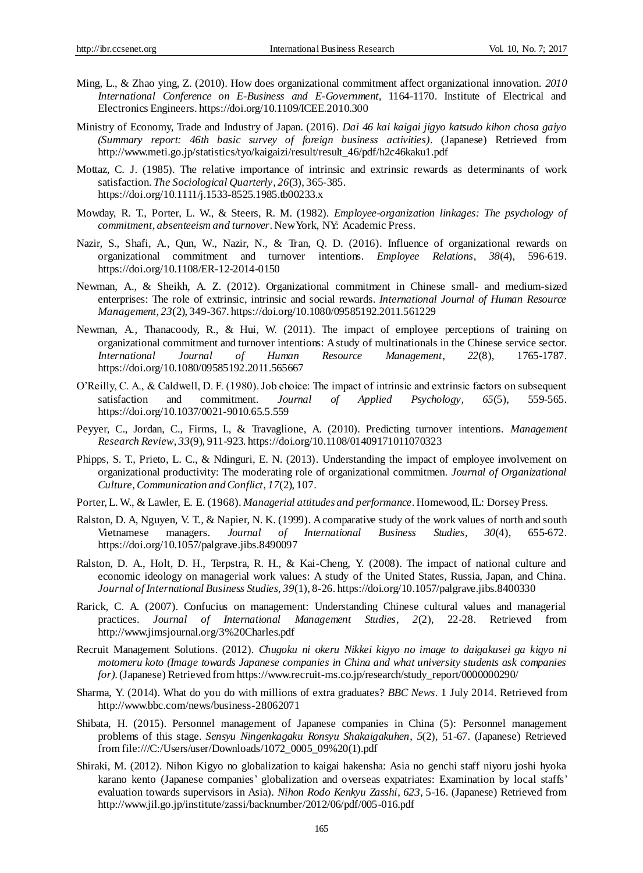- Ming, L., & Zhao ying, Z. (2010). How does organizational commitment affect organizational innovation. *2010 International Conference on E-Business and E-Government,* 1164-1170. Institute of Electrical and Electronics Engineers. https://doi.org/10.1109/ICEE.2010.300
- Ministry of Economy, Trade and Industry of Japan. (2016). *Dai 46 kai kaigai jigyo katsudo kihon chosa gaiyo (Summary report: 46th basic survey of foreign business activities)*. (Japanese) Retrieved from http://www.meti.go.jp/statistics/tyo/kaigaizi/result/result\_46/pdf/h2c46kaku1.pdf
- Mottaz, C. J. (1985). The relative importance of intrinsic and extrinsic rewards as determinants of work satisfaction. *The Sociological Quarterly*, *26*(3), 365-385. https://doi.org/10.1111/j.1533-8525.1985.tb00233.x
- Mowday, R. T., Porter, L. W., & Steers, R. M. (1982). *Employee-organization linkages: The psychology of commitment, absenteeism and turnover*. New York, NY: Academic Press.
- Nazir, S., Shafi, A., Qun, W., Nazir, N., & Tran, Q. D. (2016). Influence of organizational rewards on organizational commitment and turnover intentions. *Employee Relations*, *38*(4), 596-619. https://doi.org/10.1108/ER-12-2014-0150
- Newman, A., & Sheikh, A. Z. (2012). Organizational commitment in Chinese small- and medium-sized enterprises: The role of extrinsic, intrinsic and social rewards. *International Journal of Human Resource Management*, *23*(2), 349-367. https://doi.org/10.1080/09585192.2011.561229
- Newman, A., Thanacoody, R., & Hui, W. (2011). The impact of employee perceptions of training on organizational commitment and turnover intentions: A study of multinationals in the Chinese service sector. *International Journal of Human Resource Management*, *22*(8), 1765-1787. https://doi.org/10.1080/09585192.2011.565667
- O'Reilly, C. A., & Caldwell, D. F. (1980). Job choice: The impact of intrinsic and extrinsic factors on subsequent satisfaction and commitment. *Journal of Applied Psychology*, *65*(5), 559-565. https://doi.org/10.1037/0021-9010.65.5.559
- Peyyer, C., Jordan, C., Firms, I., & Travaglione, A. (2010). Predicting turnover intentions. *Management Research Review*, *33*(9), 911-923. https://doi.org/10.1108/01409171011070323
- Phipps, S. T., Prieto, L. C., & Ndinguri, E. N. (2013). Understanding the impact of employee involvement on organizational productivity: The moderating role of organizational commitmen. *Journal of Organizational Culture, Communication and Conflict*, *17*(2), 107.
- Porter, L. W., & Lawler, E. E. (1968). *Managerial attitudes and performance*. Homewood, IL: Dorsey Press.
- Ralston, D. A, Nguyen, V. T., & Napier, N. K. (1999). A comparative study of the work values of north and south Vietnamese managers. *Journal of International Business Studies*, *30*(4), 655-672. https://doi.org/10.1057/palgrave.jibs.8490097
- Ralston, D. A., Holt, D. H., Terpstra, R. H., & Kai-Cheng, Y. (2008). The impact of national culture and economic ideology on managerial work values: A study of the United States, Russia, Japan, and China. *Journal of International Business Studies*, *39*(1), 8-26. https://doi.org/10.1057/palgrave.jibs.8400330
- Rarick, C. A. (2007). Confucius on management: Understanding Chinese cultural values and managerial practices. *Journal of International Management Studies*, *2*(2), 22-28. Retrieved from http://www.jimsjournal.org/3%20Charles.pdf
- Recruit Management Solutions. (2012). *Chugoku ni okeru Nikkei kigyo no image to daigakusei ga kigyo ni motomeru koto (Image towards Japanese companies in China and what university students ask companies for)*. (Japanese) Retrieved from https://www.recruit-ms.co.jp/research/study\_report/0000000290/
- Sharma, Y. (2014). What do you do with millions of extra graduates? *BBC News*. 1 July 2014. Retrieved from http://www.bbc.com/news/business-28062071
- Shibata, H. (2015). Personnel management of Japanese companies in China (5): Personnel management problems of this stage. *Sensyu Ningenkagaku Ronsyu Shakaigakuhen*, *5*(2), 51-67. (Japanese) Retrieved from file:///C:/Users/user/Downloads/1072\_0005\_09%20(1).pdf
- Shiraki, M. (2012). Nihon Kigyo no globalization to kaigai hakensha: Asia no genchi staff niyoru joshi hyoka karano kento (Japanese companies' globalization and overseas expatriates: Examination by local staffs' evaluation towards supervisors in Asia). *Nihon Rodo Kenkyu Zasshi*, *623*, 5-16. (Japanese) Retrieved from http://www.jil.go.jp/institute/zassi/backnumber/2012/06/pdf/005-016.pdf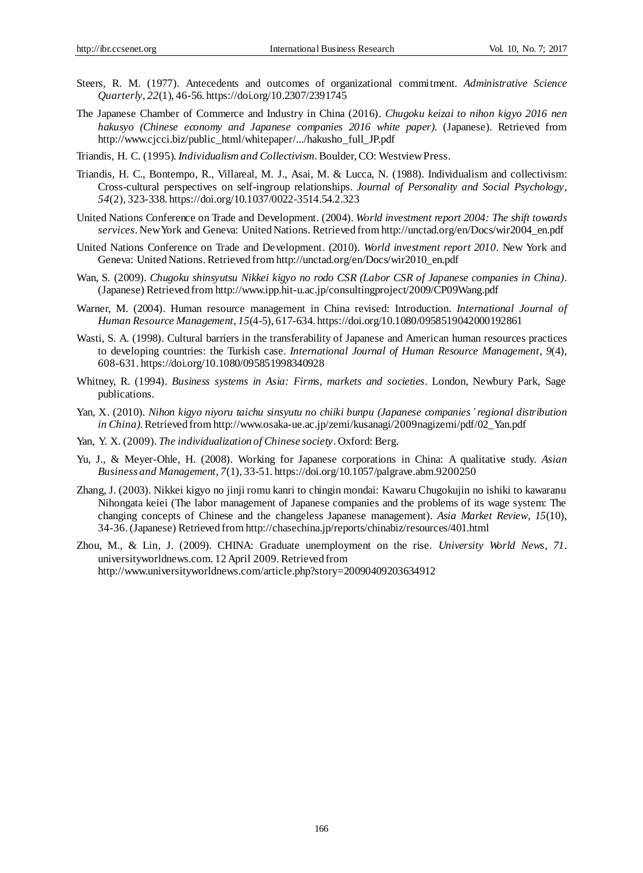- Steers, R. M. (1977). Antecedents and outcomes of organizational commitment. *Administrative Science Quarterly*, *22*(1), 46-56. https://doi.org/10.2307/2391745
- The Japanese Chamber of Commerce and Industry in China (2016). *Chugoku keizai to nihon kigyo 2016 nen hakusyo (Chinese economy and Japanese companies 2016 white paper)*. (Japanese). Retrieved from http://www.cjcci.biz/public\_html/whitepaper/.../hakusho\_full\_JP.pdf
- Triandis, H. C. (1995). *Individualism and Collectivism*. Boulder, CO: Westview Press.
- Triandis, H. C., Bontempo, R., Villareal, M. J., Asai, M. & Lucca, N. (1988). Individualism and collectivism: Cross-cultural perspectives on self-ingroup relationships. *Journal of Personality and Social Psychology*, *54*(2), 323-338. https://doi.org/10.1037/0022-3514.54.2.323
- United Nations Conference on Trade and Development. (2004). *World investment report 2004: The shift towards services*. New York and Geneva: United Nations. Retrieved from http://unctad.org/en/Docs/wir2004\_en.pdf
- United Nations Conference on Trade and Development. (2010). *World investment report 2010*. New York and Geneva: United Nations. Retrieved from http://unctad.org/en/Docs/wir2010\_en.pdf
- Wan, S. (2009). *Chugoku shinsyutsu Nikkei kigyo no rodo CSR (Labor CSR of Japanese companies in China)*. (Japanese) Retrieved from http://www.ipp.hit-u.ac.jp/consultingproject/2009/CP09Wang.pdf
- Warner, M. (2004). Human resource management in China revised: Introduction. *International Journal of Human Resource Management*, *15*(4-5), 617-634[. https://doi.org/10.1080/0958519042000192861](http://dx.doi.org/10.1080/0958519042000192861)
- Wasti, S. A. (1998). Cultural barriers in the transferability of Japanese and American human resources practices to developing countries: the Turkish case. *International Journal of Human Resource Management*, *9*(4), 608-631. https://doi.org/10.1080/095851998340928
- Whitney, R. (1994). *Business systems in Asia: Firms, markets and societies*. London, Newbury Park, Sage publications.
- Yan, X. (2010). *Nihon kigyo niyoru taichu sinsyutu no chiiki bunpu (Japanese companies' regional distribution in China)*. Retrieved from http://www.osaka-ue.ac.jp/zemi/kusanagi/2009nagizemi/pdf/02\_Yan.pdf
- Yan, Y. X. (2009). *The individualization of Chinese society*. Oxford: Berg.
- Yu, J., & Meyer-Ohle, H. (2008). Working for Japanese corporations in China: A qualitative study. *Asian Business and Management*, *7*(1), 33-51. https://doi.org/10.1057/palgrave.abm.9200250
- Zhang, J. (2003). Nikkei kigyo no jinji romu kanri to chingin mondai: Kawaru Chugokujin no ishiki to kawaranu Nihongata keiei (The labor management of Japanese companies and the problems of its wage system: The changing concepts of Chinese and the changeless Japanese management). *Asia Market Review*, *15*(10), 34-36. (Japanese) Retrieved from http://chasechina.jp/reports/chinabiz/resources/401.html
- Zhou, M., & Lin, J. (2009). CHINA: Graduate unemployment on the rise. *University World News*, *71*. universityworldnews.com. 12 April 2009. Retrieved from http://www.universityworldnews.com/article.php?story=20090409203634912